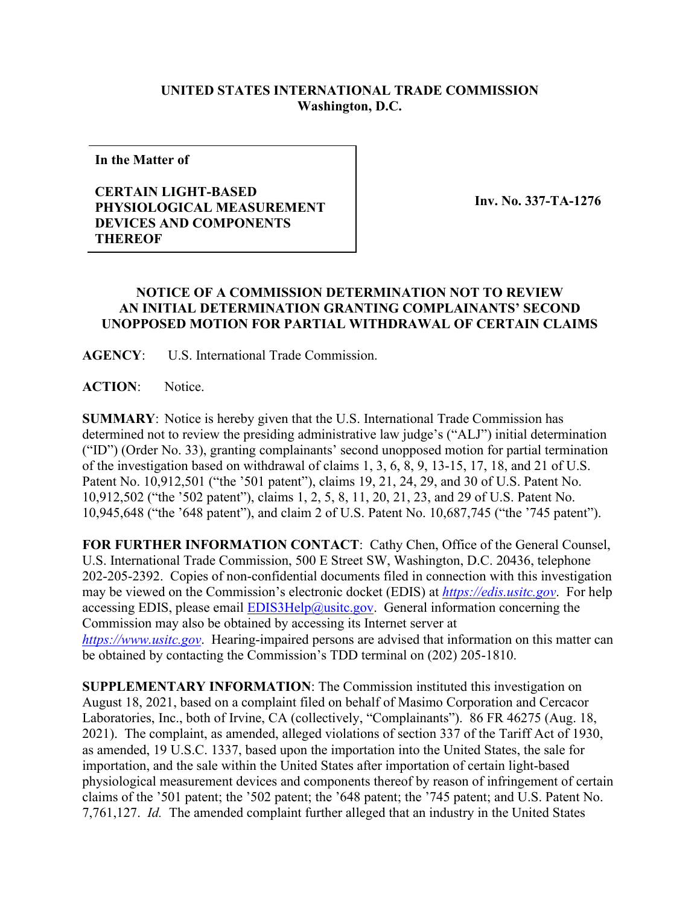## **UNITED STATES INTERNATIONAL TRADE COMMISSION Washington, D.C.**

**In the Matter of**

## **CERTAIN LIGHT-BASED PHYSIOLOGICAL MEASUREMENT DEVICES AND COMPONENTS THEREOF**

**Inv. No. 337-TA-1276**

## **NOTICE OF A COMMISSION DETERMINATION NOT TO REVIEW AN INITIAL DETERMINATION GRANTING COMPLAINANTS' SECOND UNOPPOSED MOTION FOR PARTIAL WITHDRAWAL OF CERTAIN CLAIMS**

**AGENCY**: U.S. International Trade Commission.

**ACTION**: Notice.

**SUMMARY**: Notice is hereby given that the U.S. International Trade Commission has determined not to review the presiding administrative law judge's ("ALJ") initial determination ("ID") (Order No. 33), granting complainants' second unopposed motion for partial termination of the investigation based on withdrawal of claims 1, 3, 6, 8, 9, 13-15, 17, 18, and 21 of U.S. Patent No. 10,912,501 ("the '501 patent"), claims 19, 21, 24, 29, and 30 of U.S. Patent No. 10,912,502 ("the '502 patent"), claims 1, 2, 5, 8, 11, 20, 21, 23, and 29 of U.S. Patent No. 10,945,648 ("the '648 patent"), and claim 2 of U.S. Patent No. 10,687,745 ("the '745 patent").

**FOR FURTHER INFORMATION CONTACT**: Cathy Chen, Office of the General Counsel, U.S. International Trade Commission, 500 E Street SW, Washington, D.C. 20436, telephone 202-205-2392. Copies of non-confidential documents filed in connection with this investigation may be viewed on the Commission's electronic docket (EDIS) at *[https://edis.usitc.gov](https://edis.usitc.gov/)*. For help accessing EDIS, please email  $EDIS3Help@ustc.gov$ . General information concerning the Commission may also be obtained by accessing its Internet server at *[https://www.usitc.gov](https://www.usitc.gov/)*. Hearing-impaired persons are advised that information on this matter can be obtained by contacting the Commission's TDD terminal on (202) 205-1810.

**SUPPLEMENTARY INFORMATION**: The Commission instituted this investigation on August 18, 2021, based on a complaint filed on behalf of Masimo Corporation and Cercacor Laboratories, Inc., both of Irvine, CA (collectively, "Complainants"). 86 FR 46275 (Aug. 18, 2021). The complaint, as amended, alleged violations of section 337 of the Tariff Act of 1930, as amended, 19 U.S.C. 1337, based upon the importation into the United States, the sale for importation, and the sale within the United States after importation of certain light-based physiological measurement devices and components thereof by reason of infringement of certain claims of the '501 patent; the '502 patent; the '648 patent; the '745 patent; and U.S. Patent No. 7,761,127. *Id.* The amended complaint further alleged that an industry in the United States